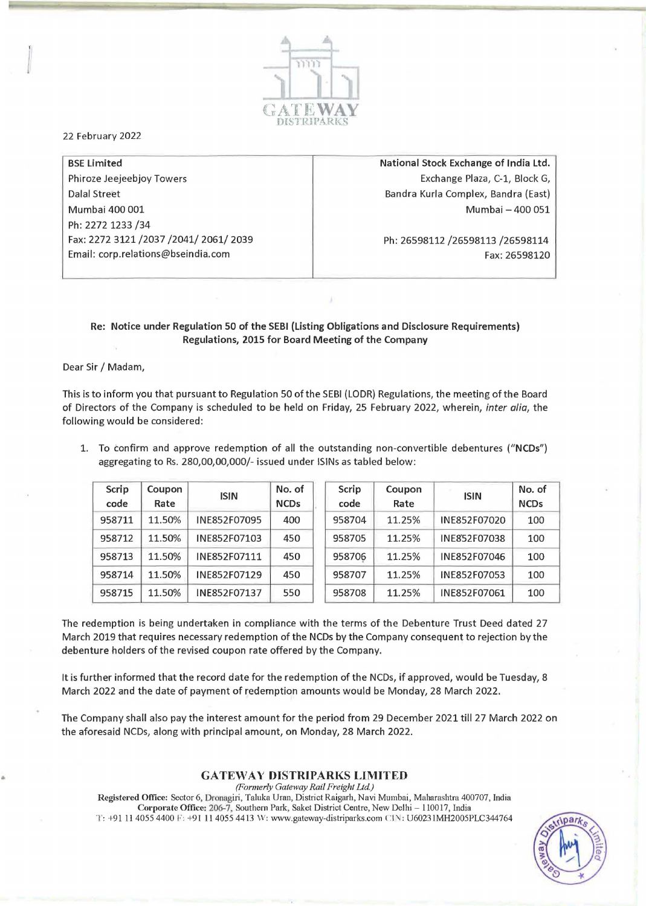

22 February 2022

BSE limited Phiroze Jeejeebjoy Towers Dalal Street Mumbai 400 001 Ph: 2272 1233/34 Fax: 22723121/2037/2041/2061/2039 Email: corp.relations@bseindia.com

National Stock Exchange of India Ltd. Exchange Plaza, C-l, Block G, Bandra Kurla Complex, Bandra (East) Mumbai - 400 051

Ph: 26598112/26598113 /26598114 Fax: 26598120

## Re: Notice under Regulation 50 of the SEBI (Listing Obligations and Disclosure Requirements) Regulations, 2015 for Board Meeting of the Company

Dear Sir / Madam,

This is to inform you that pursuant to Regulation 50 of the SEBI (LODR) Regulations, the meeting of the Board of Directors of the Company is scheduled to be held on Friday, 25 February 2022, wherein, *inter alia,* the following would be considered:

1. To confirm and approve redemption of all the outstanding non-convertible debentures ("NCDs") aggregating to Rs. 280,00,00,000/- issued under ISINs as tabled below:

| Scrip<br>code | Coupon<br>Rate | <b>ISIN</b>  | No. of<br><b>NCDs</b> | Scrip<br>code | Coupon<br>Rate | <b>ISIN</b>  | No. of<br><b>NCDs</b> |
|---------------|----------------|--------------|-----------------------|---------------|----------------|--------------|-----------------------|
| 958711        | 11.50%         | INE852F07095 | 400                   | 958704        | 11.25%         | INE852F07020 | 100                   |
| 958712        | 11.50%         | INE852F07103 | 450                   | 958705        | 11.25%         | INE852F07038 | 100                   |
| 958713        | 11.50%         | INE852F07111 | 450                   | 958706        | 11.25%         | INE852F07046 | 100                   |
| 958714        | 11.50%         | INE852F07129 | 450                   | 958707        | 11.25%         | INE852F07053 | 100                   |
| 958715        | 11.50%         | INE852F07137 | 550                   | 958708        | 11.25%         | INE852F07061 | 100                   |

The redemption is being undertaken in compliance with the terms of the Debenture Trust Deed dated 27 March 2019 that requires necessary redemption of the NCDs by the Company consequent to rejection by the debenture holders of the revised coupon rate offered by the Company.

It is further informed that the record date for the redemption of the NCDs, if approved, would be Tuesday, 8 March 2022 and the date of payment of redemption amounts would be Monday, 28 March 2022.

The Company shall also pay the interest amount for the period from 29 December 2021 till 27 March 2022 on the aforesaid NCDs, along with principal amount, on Monday, 28 March 2022.

## GATEWAY **DISTRtPARKS LIMITED**

*(Formerly Gateway Rail Freight Ltd.)*  Registered Office: Sector 6, Dronagiri, Taluka Uran, District Raigarh, Navi Mumbai, Maharashtra 400707, India Corporate Office: 206-7. Southern Park, Saket District Centre, New Delhi - 110017, India T: +91 11 4055 4400 F: +91 11 4055 4413 W: www.gateway-distriparks.com CIN: U60231MH2005PLC344764